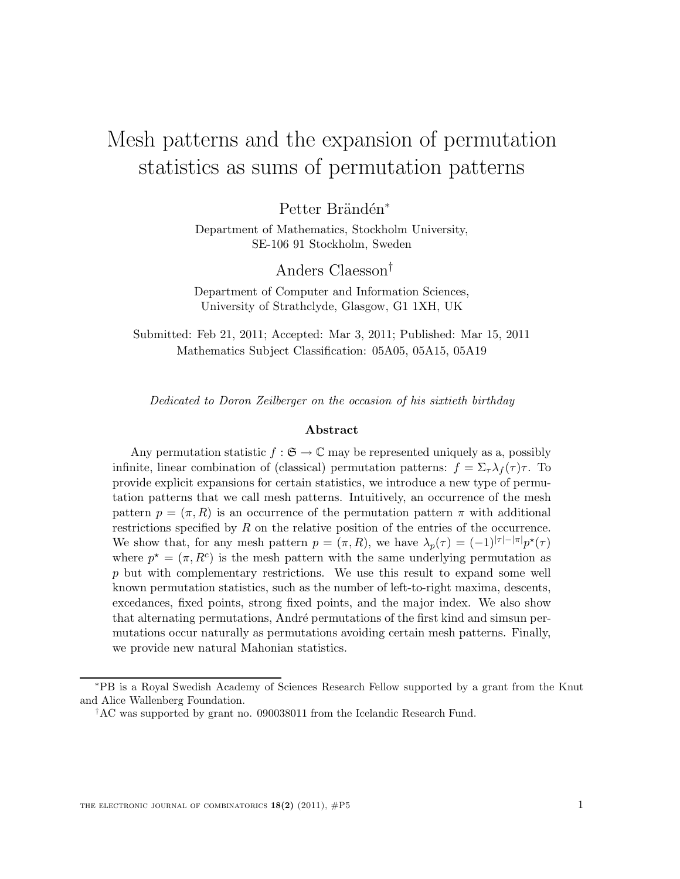# Mesh patterns and the expansion of permutation statistics as sums of permutation patterns

Petter Brändén<sup>∗</sup>

Department of Mathematics, Stockholm University, SE-106 91 Stockholm, Sweden

Anders Claesson†

Department of Computer and Information Sciences, University of Strathclyde, Glasgow, G1 1XH, UK

Submitted: Feb 21, 2011; Accepted: Mar 3, 2011; Published: Mar 15, 2011 Mathematics Subject Classification: 05A05, 05A15, 05A19

Dedicated to Doron Zeilberger on the occasion of his sixtieth birthday

#### Abstract

Any permutation statistic  $f : \mathfrak{S} \to \mathbb{C}$  may be represented uniquely as a, possibly infinite, linear combination of (classical) permutation patterns:  $f = \sum_{\tau} \lambda_f(\tau) \tau$ . To provide explicit expansions for certain statistics, we introduce a new type of permutation patterns that we call mesh patterns. Intuitively, an occurrence of the mesh pattern  $p = (\pi, R)$  is an occurrence of the permutation pattern  $\pi$  with additional restrictions specified by  $R$  on the relative position of the entries of the occurrence. We show that, for any mesh pattern  $p = (\pi, R)$ , we have  $\lambda_p(\tau) = (-1)^{|\tau| - |\pi|} p^*(\tau)$ where  $p^* = (\pi, R^c)$  is the mesh pattern with the same underlying permutation as p but with complementary restrictions. We use this result to expand some well known permutation statistics, such as the number of left-to-right maxima, descents, excedances, fixed points, strong fixed points, and the major index. We also show that alternating permutations, André permutations of the first kind and simsun permutations occur naturally as permutations avoiding certain mesh patterns. Finally, we provide new natural Mahonian statistics.

<sup>∗</sup>PB is a Royal Swedish Academy of Sciences Research Fellow supported by a grant from the Knut and Alice Wallenberg Foundation.

<sup>†</sup>AC was supported by grant no. 090038011 from the Icelandic Research Fund.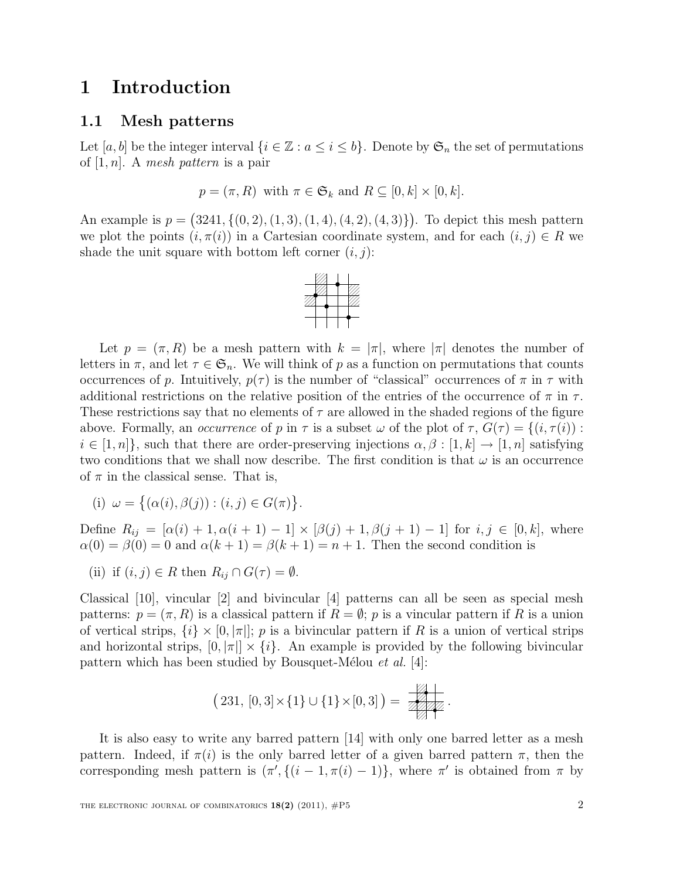## 1 Introduction

### 1.1 Mesh patterns

Let [a, b] be the integer interval  $\{i \in \mathbb{Z} : a \leq i \leq b\}$ . Denote by  $\mathfrak{S}_n$  the set of permutations of  $[1, n]$ . A mesh pattern is a pair

$$
p = (\pi, R)
$$
 with  $\pi \in \mathfrak{S}_k$  and  $R \subseteq [0, k] \times [0, k]$ .

An example is  $p = (3241, \{(0, 2), (1, 3), (1, 4), (4, 2), (4, 3)\})$ . To depict this mesh pattern we plot the points  $(i, \pi(i))$  in a Cartesian coordinate system, and for each  $(i, j) \in R$  we shade the unit square with bottom left corner  $(i, j)$ :



Let  $p = (\pi, R)$  be a mesh pattern with  $k = |\pi|$ , where  $|\pi|$  denotes the number of letters in  $\pi$ , and let  $\tau \in \mathfrak{S}_n$ . We will think of p as a function on permutations that counts occurrences of p. Intuitively,  $p(\tau)$  is the number of "classical" occurrences of  $\pi$  in  $\tau$  with additional restrictions on the relative position of the entries of the occurrence of  $\pi$  in  $\tau$ . These restrictions say that no elements of  $\tau$  are allowed in the shaded regions of the figure above. Formally, an *occurrence* of p in  $\tau$  is a subset  $\omega$  of the plot of  $\tau$ ,  $G(\tau) = \{(i, \tau(i)) :$  $i \in [1, n]$ , such that there are order-preserving injections  $\alpha, \beta : [1, k] \rightarrow [1, n]$  satisfying two conditions that we shall now describe. The first condition is that  $\omega$  is an occurrence of  $\pi$  in the classical sense. That is,

(i) 
$$
\omega = \{(\alpha(i), \beta(j)) : (i, j) \in G(\pi)\}.
$$

Define  $R_{ij} = [\alpha(i) + 1, \alpha(i + 1) - 1] \times [\beta(j) + 1, \beta(j + 1) - 1]$  for  $i, j \in [0, k]$ , where  $\alpha(0) = \beta(0) = 0$  and  $\alpha(k+1) = \beta(k+1) = n+1$ . Then the second condition is

(ii) if 
$$
(i, j) \in R
$$
 then  $R_{ij} \cap G(\tau) = \emptyset$ .

Classical [10], vincular [2] and bivincular [4] patterns can all be seen as special mesh patterns:  $p = (\pi, R)$  is a classical pattern if  $R = \emptyset$ ; p is a vincular pattern if R is a union of vertical strips,  $\{i\} \times [0, |\pi|]$ ; p is a bivincular pattern if R is a union of vertical strips and horizontal strips,  $[0, |\pi|] \times \{i\}$ . An example is provided by the following bivincular pattern which has been studied by Bousquet-Mélou et al. [4]:

$$
(231, [0,3] \times \{1\} \cup \{1\} \times [0,3]) = \boxed{\mathbb{Z}}.
$$

It is also easy to write any barred pattern [14] with only one barred letter as a mesh pattern. Indeed, if  $\pi(i)$  is the only barred letter of a given barred pattern  $\pi$ , then the corresponding mesh pattern is  $(\pi', \{(i-1, \pi(i)-1)\})$ , where  $\pi'$  is obtained from  $\pi$  by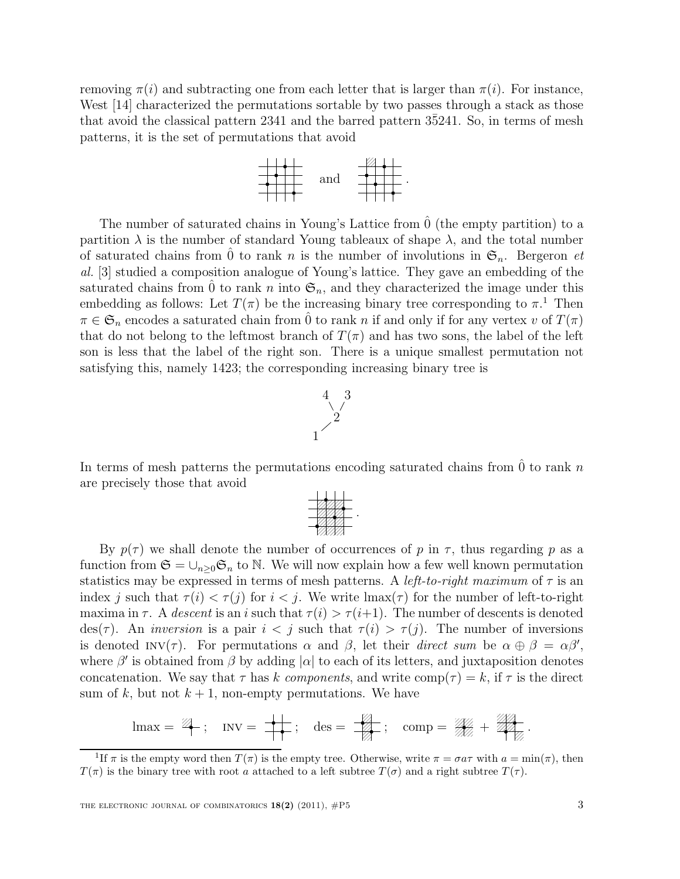removing  $\pi(i)$  and subtracting one from each letter that is larger than  $\pi(i)$ . For instance, West [14] characterized the permutations sortable by two passes through a stack as those that avoid the classical pattern 2341 and the barred pattern 3¯5241. So, in terms of mesh patterns, it is the set of permutations that avoid



The number of saturated chains in Young's Lattice from  $\hat{0}$  (the empty partition) to a partition  $\lambda$  is the number of standard Young tableaux of shape  $\lambda$ , and the total number of saturated chains from  $\hat{0}$  to rank n is the number of involutions in  $\mathfrak{S}_n$ . Bergeron et al. [3] studied a composition analogue of Young's lattice. They gave an embedding of the saturated chains from  $\hat{0}$  to rank n into  $\mathfrak{S}_n$ , and they characterized the image under this embedding as follows: Let  $T(\pi)$  be the increasing binary tree corresponding to  $\pi$ .<sup>1</sup> Then  $\pi \in \mathfrak{S}_n$  encodes a saturated chain from  $\hat{0}$  to rank n if and only if for any vertex v of  $T(\pi)$ that do not belong to the leftmost branch of  $T(\pi)$  and has two sons, the label of the left son is less that the label of the right son. There is a unique smallest permutation not satisfying this, namely 1423; the corresponding increasing binary tree is



In terms of mesh patterns the permutations encoding saturated chains from  $\hat{0}$  to rank n are precisely those that avoid



By  $p(\tau)$  we shall denote the number of occurrences of p in  $\tau$ , thus regarding p as a function from  $\mathfrak{S} = \cup_{n>0} \mathfrak{S}_n$  to N. We will now explain how a few well known permutation statistics may be expressed in terms of mesh patterns. A *left-to-right maximum* of  $\tau$  is an index j such that  $\tau(i) < \tau(j)$  for  $i < j$ . We write  $\max(\tau)$  for the number of left-to-right maxima in  $\tau$ . A descent is an i such that  $\tau(i) > \tau(i+1)$ . The number of descents is denoted des(τ). An *inversion* is a pair  $i < j$  such that  $\tau(i) > \tau(j)$ . The number of inversions is denoted INV( $\tau$ ). For permutations  $\alpha$  and  $\beta$ , let their direct sum be  $\alpha \oplus \beta = \alpha \beta'$ , where  $\beta'$  is obtained from  $\beta$  by adding  $|\alpha|$  to each of its letters, and juxtaposition denotes concatenation. We say that  $\tau$  has k components, and write  $\text{comp}(\tau) = k$ , if  $\tau$  is the direct sum of k, but not  $k + 1$ , non-empty permutations. We have

$$
\text{Imax} = \frac{104}{4}; \quad \text{INV} = \frac{1}{4}; \quad \text{des} = \frac{104}{4}; \quad \text{comp} = \frac{100}{4} + \frac{100}{4}.
$$

<sup>&</sup>lt;sup>1</sup>If  $\pi$  is the empty word then  $T(\pi)$  is the empty tree. Otherwise, write  $\pi = \sigma a \tau$  with  $a = \min(\pi)$ , then  $T(\pi)$  is the binary tree with root a attached to a left subtree  $T(\sigma)$  and a right subtree  $T(\tau)$ .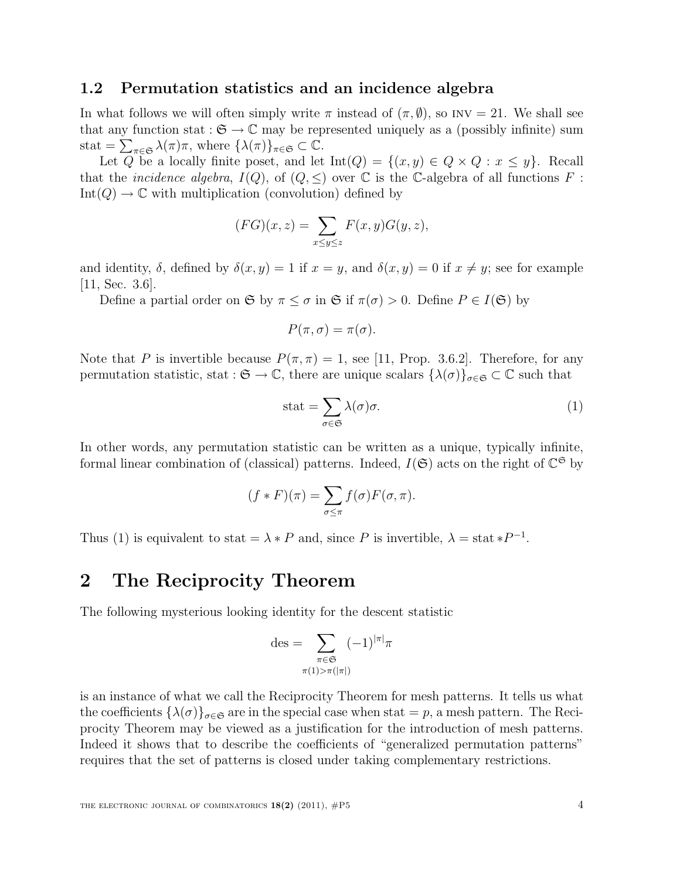### 1.2 Permutation statistics and an incidence algebra

In what follows we will often simply write  $\pi$  instead of  $(\pi, \emptyset)$ , so INV = 21. We shall see that any function stat :  $\mathfrak{S} \to \mathbb{C}$  may be represented uniquely as a (possibly infinite) sum stat =  $\sum_{\pi \in \mathfrak{S}} \lambda(\pi) \pi$ , where  $\{\lambda(\pi)\}_{\pi \in \mathfrak{S}} \subset \mathbb{C}$ .

Let Q be a locally finite poset, and let  $Int(Q) = \{(x, y) \in Q \times Q : x \leq y\}$ . Recall that the *incidence algebra*,  $I(Q)$ , of  $(Q, \leq)$  over  $\mathbb C$  is the C-algebra of all functions F:  $Int(Q) \to \mathbb{C}$  with multiplication (convolution) defined by

$$
(FG)(x, z) = \sum_{x \le y \le z} F(x, y)G(y, z),
$$

and identity,  $\delta$ , defined by  $\delta(x, y) = 1$  if  $x = y$ , and  $\delta(x, y) = 0$  if  $x \neq y$ ; see for example [11, Sec. 3.6].

Define a partial order on  $\mathfrak{S}$  by  $\pi \leq \sigma$  in  $\mathfrak{S}$  if  $\pi(\sigma) > 0$ . Define  $P \in I(\mathfrak{S})$  by

$$
P(\pi,\sigma)=\pi(\sigma).
$$

Note that P is invertible because  $P(\pi, \pi) = 1$ , see [11, Prop. 3.6.2]. Therefore, for any permutation statistic, stat :  $\mathfrak{S} \to \mathbb{C}$ , there are unique scalars  $\{\lambda(\sigma)\}_{\sigma \in \mathfrak{S}} \subset \mathbb{C}$  such that

$$
stat = \sum_{\sigma \in \mathfrak{S}} \lambda(\sigma)\sigma.
$$
 (1)

In other words, any permutation statistic can be written as a unique, typically infinite, formal linear combination of (classical) patterns. Indeed,  $I(\mathfrak{S})$  acts on the right of  $\mathbb{C}^{\mathfrak{S}}$  by

$$
(f * F)(\pi) = \sum_{\sigma \leq \pi} f(\sigma) F(\sigma, \pi).
$$

Thus (1) is equivalent to stat =  $\lambda * P$  and, since P is invertible,  $\lambda = \text{stat} * P^{-1}$ .

## 2 The Reciprocity Theorem

The following mysterious looking identity for the descent statistic

$$
\mathrm{des} = \sum_{\substack{\pi \in \mathfrak{S} \\ \pi(1) > \pi(|\pi|)}} (-1)^{|\pi|} \pi
$$

is an instance of what we call the Reciprocity Theorem for mesh patterns. It tells us what the coefficients  $\{\lambda(\sigma)\}_{\sigma\in\mathfrak{S}}$  are in the special case when stat  $=p$ , a mesh pattern. The Reciprocity Theorem may be viewed as a justification for the introduction of mesh patterns. Indeed it shows that to describe the coefficients of "generalized permutation patterns" requires that the set of patterns is closed under taking complementary restrictions.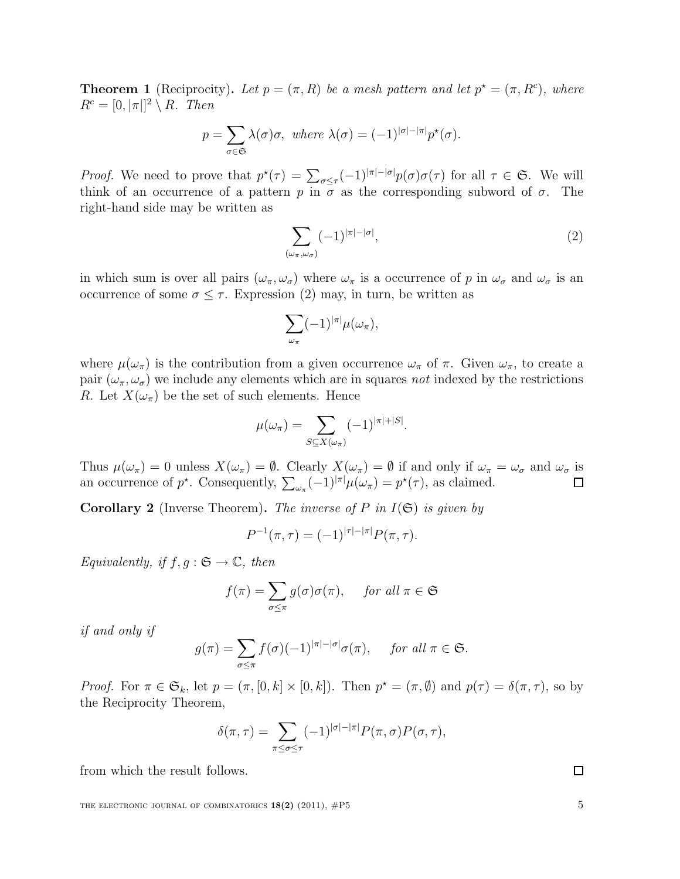**Theorem 1** (Reciprocity). Let  $p = (\pi, R)$  be a mesh pattern and let  $p^* = (\pi, R^c)$ , where  $R^c = [0, |\pi|^2 \setminus R$ . Then

$$
p = \sum_{\sigma \in \mathfrak{S}} \lambda(\sigma)\sigma, \text{ where } \lambda(\sigma) = (-1)^{|\sigma| - |\pi|} p^{\star}(\sigma).
$$

*Proof.* We need to prove that  $p^*(\tau) = \sum_{\sigma \leq \tau} (-1)^{|\pi| - |\sigma|} p(\sigma) \sigma(\tau)$  for all  $\tau \in \mathfrak{S}$ . We will think of an occurrence of a pattern p in  $\sigma$  as the corresponding subword of  $\sigma$ . The right-hand side may be written as

$$
\sum_{(\omega_{\pi},\omega_{\sigma})} (-1)^{|\pi|-|\sigma|},\tag{2}
$$

in which sum is over all pairs  $(\omega_{\pi}, \omega_{\sigma})$  where  $\omega_{\pi}$  is a occurrence of p in  $\omega_{\sigma}$  and  $\omega_{\sigma}$  is an occurrence of some  $\sigma \leq \tau$ . Expression (2) may, in turn, be written as

$$
\sum_{\omega_{\pi}} (-1)^{|\pi|} \mu(\omega_{\pi}),
$$

where  $\mu(\omega_{\pi})$  is the contribution from a given occurrence  $\omega_{\pi}$  of  $\pi$ . Given  $\omega_{\pi}$ , to create a pair  $(\omega_{\pi}, \omega_{\sigma})$  we include any elements which are in squares not indexed by the restrictions R. Let  $X(\omega_{\pi})$  be the set of such elements. Hence

$$
\mu(\omega_{\pi}) = \sum_{S \subseteq X(\omega_{\pi})} (-1)^{|\pi| + |S|}.
$$

Thus  $\mu(\omega_{\pi}) = 0$  unless  $X(\omega_{\pi}) = \emptyset$ . Clearly  $X(\omega_{\pi}) = \emptyset$  if and only if  $\omega_{\pi} = \omega_{\sigma}$  and  $\omega_{\sigma}$  is an occurrence of  $p^*$ . Consequently,  $\sum_{\omega_{\pi}} (-1)^{|\pi|} \mu(\omega_{\pi}) = p^*(\tau)$ , as claimed. □

**Corollary 2** (Inverse Theorem). The inverse of P in  $I(\mathfrak{S})$  is given by

$$
P^{-1}(\pi,\tau) = (-1)^{|\tau| - |\pi|} P(\pi,\tau).
$$

Equivalently, if  $f, q : \mathfrak{S} \to \mathbb{C}$ , then

$$
f(\pi) = \sum_{\sigma \le \pi} g(\sigma) \sigma(\pi), \quad \text{ for all } \pi \in \mathfrak{S}
$$

if and only if

$$
g(\pi) = \sum_{\sigma \leq \pi} f(\sigma)(-1)^{|\pi| - |\sigma|} \sigma(\pi), \quad \text{ for all } \pi \in \mathfrak{S}.
$$

*Proof.* For  $\pi \in \mathfrak{S}_k$ , let  $p = (\pi, [0, k] \times [0, k])$ . Then  $p^* = (\pi, \emptyset)$  and  $p(\tau) = \delta(\pi, \tau)$ , so by the Reciprocity Theorem,

$$
\delta(\pi,\tau) = \sum_{\pi \leq \sigma \leq \tau} (-1)^{|\sigma|-|\pi|} P(\pi,\sigma) P(\sigma,\tau),
$$

from which the result follows.

THE ELECTRONIC JOURNAL OF COMBINATORICS  $18(2)$  (2011),  $\#P5$  5

 $\Box$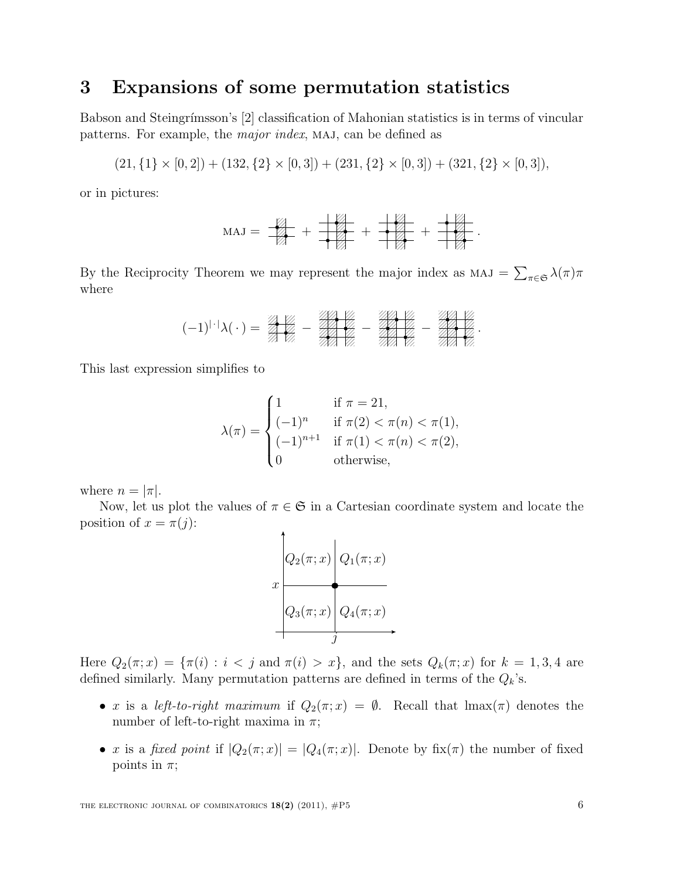## 3 Expansions of some permutation statistics

Babson and Steingrímsson's [2] classification of Mahonian statistics is in terms of vincular patterns. For example, the *major index*, MAJ, can be defined as

$$
(21, \{1\} \times [0,2]) + (132, \{2\} \times [0,3]) + (231, \{2\} \times [0,3]) + (321, \{2\} \times [0,3]),
$$

or in pictures:

$$
MAJ = \frac{1}{\sqrt{2}} + \frac{1}{\sqrt{2}} + \frac{1}{\sqrt{2}} + \frac{1}{\sqrt{2}}.
$$

By the Reciprocity Theorem we may represent the major index as  $MAJ = \sum_{\pi \in \mathfrak{S}} \lambda(\pi)\pi$ where

$$
(-1)^{|\cdot|}\lambda(\,\cdot\,)=\frac{2}{2}\frac{\sqrt{2}}{\sqrt{2}}-\frac{2}{2}\frac{\sqrt{2}}{\sqrt{2}}-\frac{2}{2}\frac{\sqrt{2}}{\sqrt{2}}-\frac{2}{2}\frac{\sqrt{2}}{\sqrt{2}}.
$$

This last expression simplifies to

$$
\lambda(\pi) = \begin{cases}\n1 & \text{if } \pi = 21, \\
(-1)^n & \text{if } \pi(2) < \pi(n) < \pi(1), \\
(-1)^{n+1} & \text{if } \pi(1) < \pi(n) < \pi(2), \\
0 & \text{otherwise,} \n\end{cases}
$$

where  $n = |\pi|$ .

Now, let us plot the values of  $\pi \in \mathfrak{S}$  in a Cartesian coordinate system and locate the position of  $x = \pi(j)$ :



Here  $Q_2(\pi; x) = {\pi(i) : i < j \text{ and } \pi(i) > x}$ , and the sets  $Q_k(\pi; x)$  for  $k = 1, 3, 4$  are defined similarly. Many permutation patterns are defined in terms of the  $Q_k$ 's.

- x is a left-to-right maximum if  $Q_2(\pi; x) = \emptyset$ . Recall that  $\text{Imax}(\pi)$  denotes the number of left-to-right maxima in  $\pi$ ;
- x is a fixed point if  $|Q_2(\pi; x)| = |Q_4(\pi; x)|$ . Denote by fix $(\pi)$  the number of fixed points in  $\pi$ ;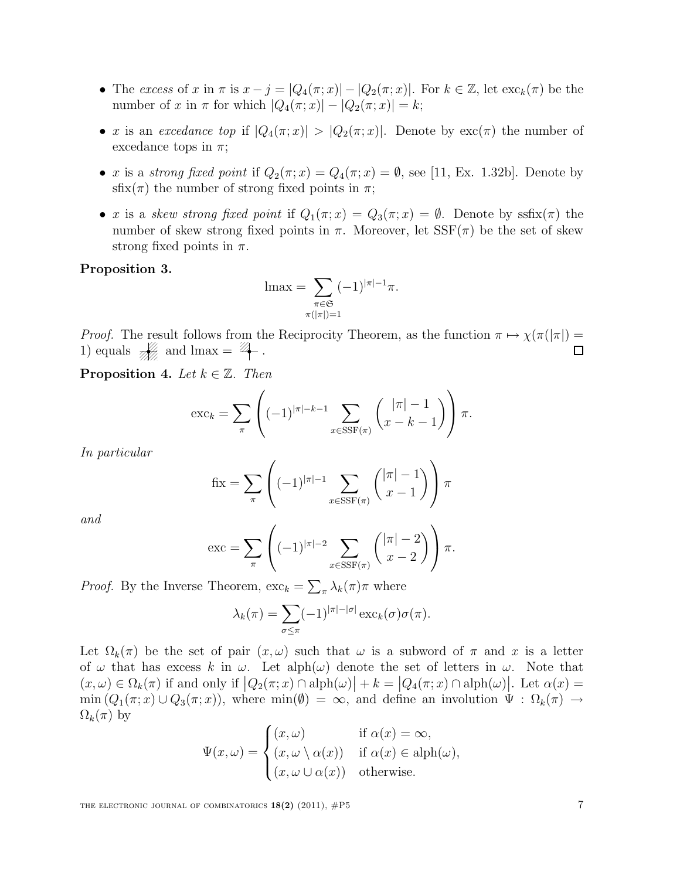- The excess of x in  $\pi$  is  $x j = |Q_4(\pi; x)| |Q_2(\pi; x)|$ . For  $k \in \mathbb{Z}$ , let  $\operatorname{exc}_k(\pi)$  be the number of x in  $\pi$  for which  $|Q_4(\pi; x)| - |Q_2(\pi; x)| = k;$
- x is an excedance top if  $|Q_4(\pi; x)| > |Q_2(\pi; x)|$ . Denote by  $\text{exc}(\pi)$  the number of excedance tops in  $\pi$ ;
- x is a strong fixed point if  $Q_2(\pi; x) = Q_4(\pi; x) = \emptyset$ , see [11, Ex. 1.32b]. Denote by sfix( $\pi$ ) the number of strong fixed points in  $\pi$ ;
- x is a skew strong fixed point if  $Q_1(\pi; x) = Q_3(\pi; x) = \emptyset$ . Denote by ssfix( $\pi$ ) the number of skew strong fixed points in  $\pi$ . Moreover, let  $SSF(\pi)$  be the set of skew strong fixed points in  $\pi$ .

#### Proposition 3.

$$
\operatorname{lmax} = \sum_{\substack{\pi \in \mathfrak{S} \\ \pi(|\pi|)=1}} (-1)^{|\pi|-1} \pi.
$$

*Proof.* The result follows from the Reciprocity Theorem, as the function  $\pi \mapsto \chi(\pi(|\pi|))$ 1) equals  $\frac{1}{\sqrt{2}}$  and lmax =  $\frac{1}{4}$ .  $\Box$ 

**Proposition 4.** Let  $k \in \mathbb{Z}$ . Then

$$
\operatorname{exc}_k = \sum_{\pi} \left( (-1)^{|\pi| - k - 1} \sum_{x \in \operatorname{SSF}(\pi)} {\binom{|\pi| - 1}{x - k - 1}} \right) \pi.
$$

In particular

$$
\text{fix} = \sum_{\pi} \left( (-1)^{|\pi|-1} \sum_{x \in \text{SSF}(\pi)} {\binom{|\pi|-1}{x-1}} \right) \pi
$$

and

$$
\operatorname{exc} = \sum_{\pi} \left( (-1)^{|\pi|-2} \sum_{x \in \operatorname{SSF}(\pi)} \binom{|\pi|-2}{x-2} \right) \pi.
$$

*Proof.* By the Inverse Theorem,  $\operatorname{exc}_k = \sum_{\pi} \lambda_k(\pi) \pi$  where

$$
\lambda_k(\pi) = \sum_{\sigma \leq \pi} (-1)^{|\pi| - |\sigma|} \exp(\sigma) \sigma(\pi).
$$

Let  $\Omega_k(\pi)$  be the set of pair  $(x,\omega)$  such that  $\omega$  is a subword of  $\pi$  and x is a letter of  $\omega$  that has excess k in  $\omega$ . Let alph $(\omega)$  denote the set of letters in  $\omega$ . Note that  $(x,\omega) \in \Omega_k(\pi)$  if and only if  $|Q_2(\pi;x) \cap \text{alph}(\omega)| + k = |Q_4(\pi;x) \cap \text{alph}(\omega)|$ . Let  $\alpha(x) =$  $\min(Q_1(\pi, x) \cup Q_3(\pi, x))$ , where  $\min(\emptyset) = \infty$ , and define an involution  $\Psi : \Omega_k(\pi) \to$  $\Omega_k(\pi)$  by

$$
\Psi(x,\omega) = \begin{cases}\n(x,\omega) & \text{if } \alpha(x) = \infty, \\
(x,\omega \setminus \alpha(x)) & \text{if } \alpha(x) \in \text{alph}(\omega), \\
(x,\omega \cup \alpha(x)) & \text{otherwise.} \n\end{cases}
$$

THE ELECTRONIC JOURNAL OF COMBINATORICS  $18(2)$  (2011),  $\#P5$  7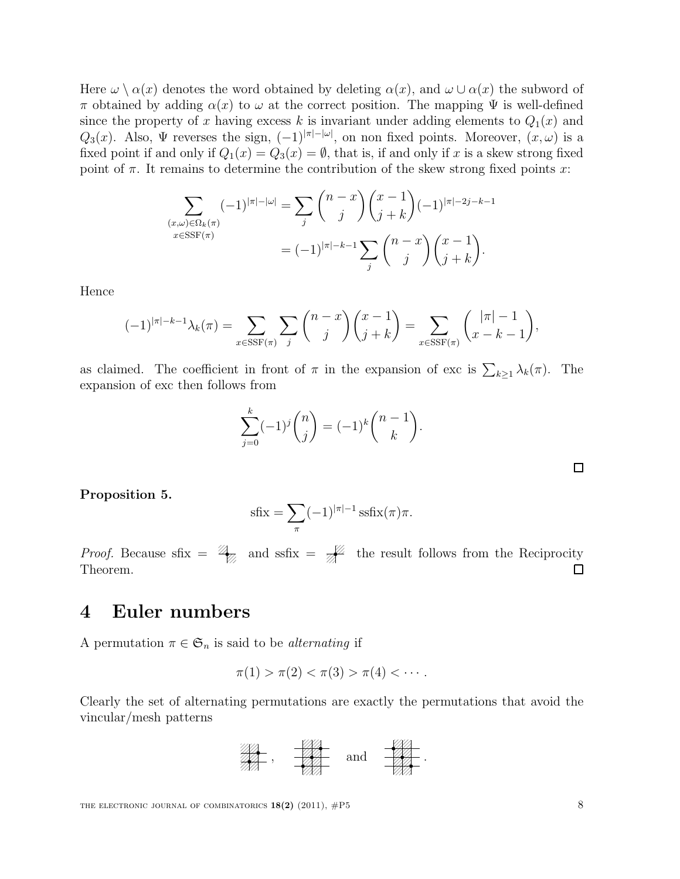Here  $\omega \setminus \alpha(x)$  denotes the word obtained by deleting  $\alpha(x)$ , and  $\omega \cup \alpha(x)$  the subword of π obtained by adding  $\alpha(x)$  to  $\omega$  at the correct position. The mapping  $\Psi$  is well-defined since the property of x having excess k is invariant under adding elements to  $Q_1(x)$  and Q<sub>3</sub>(x). Also,  $\Psi$  reverses the sign,  $(-1)^{|\pi| - |\omega|}$ , on non fixed points. Moreover,  $(x, \omega)$  is a fixed point if and only if  $Q_1(x) = Q_3(x) = \emptyset$ , that is, if and only if x is a skew strong fixed point of  $\pi$ . It remains to determine the contribution of the skew strong fixed points x:

$$
\sum_{\substack{(x,\omega)\in\Omega_k(\pi) \\ x\in \text{SSF}(\pi)}} (-1)^{|\pi|-|\omega|} = \sum_j {n-x \choose j} {x-1 \choose j+k} (-1)^{|\pi|-2j-k-1} \n= (-1)^{|\pi|-k-1} \sum_j {n-x \choose j} {x-1 \choose j+k}.
$$

Hence

$$
(-1)^{|\pi|-k-1}\lambda_k(\pi) = \sum_{x \in \text{SSF}(\pi)} \sum_j \binom{n-x}{j} \binom{x-1}{j+k} = \sum_{x \in \text{SSF}(\pi)} \binom{|\pi|-1}{x-k-1},
$$

as claimed. The coefficient in front of  $\pi$  in the expansion of exc is  $\sum_{k\geq 1} \lambda_k(\pi)$ . The expansion of exc then follows from

$$
\sum_{j=0}^{k} (-1)^{j} {n \choose j} = (-1)^{k} {n-1 \choose k}.
$$

Proposition 5.

$$
\text{sfix} = \sum_{\pi} (-1)^{|\pi|-1} \text{ssix}(\pi)\pi.
$$

*Proof.* Because sfix =  $\mathcal{L}_{\mathbb{Z}}$  and ssfix =  $\mathcal{L}_{\mathbb{Z}}$  the result follows from the Reciprocity Theorem.  $\Box$ 

## 4 Euler numbers

A permutation  $\pi \in \mathfrak{S}_n$  is said to be *alternating* if

$$
\pi(1) > \pi(2) < \pi(3) > \pi(4) < \cdots.
$$

Clearly the set of alternating permutations are exactly the permutations that avoid the vincular/mesh patterns



 $\Box$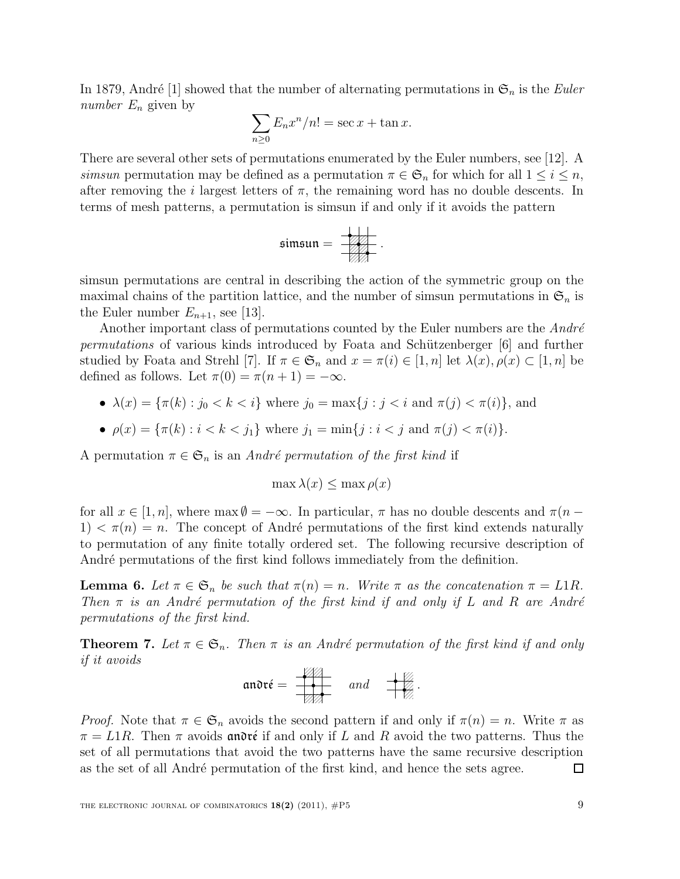In 1879, André [1] showed that the number of alternating permutations in  $\mathfrak{S}_n$  is the Euler number  $E_n$  given by

$$
\sum_{n\geq 0} E_n x^n / n! = \sec x + \tan x.
$$

There are several other sets of permutations enumerated by the Euler numbers, see [12]. A simsun permutation may be defined as a permutation  $\pi \in \mathfrak{S}_n$  for which for all  $1 \leq i \leq n$ , after removing the *i* largest letters of  $\pi$ , the remaining word has no double descents. In terms of mesh patterns, a permutation is simsun if and only if it avoids the pattern

$$
\mathfrak{simsum} = \frac{\frac{1}{\sqrt{2}}}{\sqrt{2}}.
$$

simsun permutations are central in describing the action of the symmetric group on the maximal chains of the partition lattice, and the number of simsun permutations in  $\mathfrak{S}_n$  is the Euler number  $E_{n+1}$ , see [13].

Another important class of permutations counted by the Euler numbers are the  $Andr\acute{e}$ permutations of various kinds introduced by Foata and Schützenberger [6] and further studied by Foata and Strehl [7]. If  $\pi \in \mathfrak{S}_n$  and  $x = \pi(i) \in [1, n]$  let  $\lambda(x), \rho(x) \subset [1, n]$  be defined as follows. Let  $\pi(0) = \pi(n+1) = -\infty$ .

• 
$$
\lambda(x) = {\pi(k) : j_0 < k < i}
$$
 where  $j_0 = \max\{j : j < i \text{ and } \pi(j) < \pi(i)\}$ , and

• 
$$
\rho(x) = {\pi(k) : i < k < j_1}
$$
 where  $j_1 = \min\{j : i < j \text{ and } \pi(j) < \pi(i)\}.$ 

A permutation  $\pi \in \mathfrak{S}_n$  is an André permutation of the first kind if

$$
\max \lambda(x) \le \max \rho(x)
$$

for all  $x \in [1, n]$ , where max  $\emptyset = -\infty$ . In particular,  $\pi$  has no double descents and  $\pi(n 1) < \pi(n) = n$ . The concept of André permutations of the first kind extends naturally to permutation of any finite totally ordered set. The following recursive description of André permutations of the first kind follows immediately from the definition.

**Lemma 6.** Let  $\pi \in \mathfrak{S}_n$  be such that  $\pi(n) = n$ . Write  $\pi$  as the concatenation  $\pi = L1R$ . Then  $\pi$  is an André permutation of the first kind if and only if L and R are André permutations of the first kind.

**Theorem 7.** Let  $\pi \in \mathfrak{S}_n$ . Then  $\pi$  is an André permutation of the first kind if and only if it avoids

$$
\text{an } \sigma \mathfrak{r} \mathfrak{e} = \overline{\bullet} \mathfrak{p} \qquad \text{and} \qquad \overline{\bullet} \mathfrak{p}.
$$

*Proof.* Note that  $\pi \in \mathfrak{S}_n$  avoids the second pattern if and only if  $\pi(n) = n$ . Write  $\pi$  as  $\pi = L1R$ . Then  $\pi$  avoids and régional regional regional R avoid the two patterns. Thus the set of all permutations that avoid the two patterns have the same recursive description as the set of all André permutation of the first kind, and hence the sets agree. ◻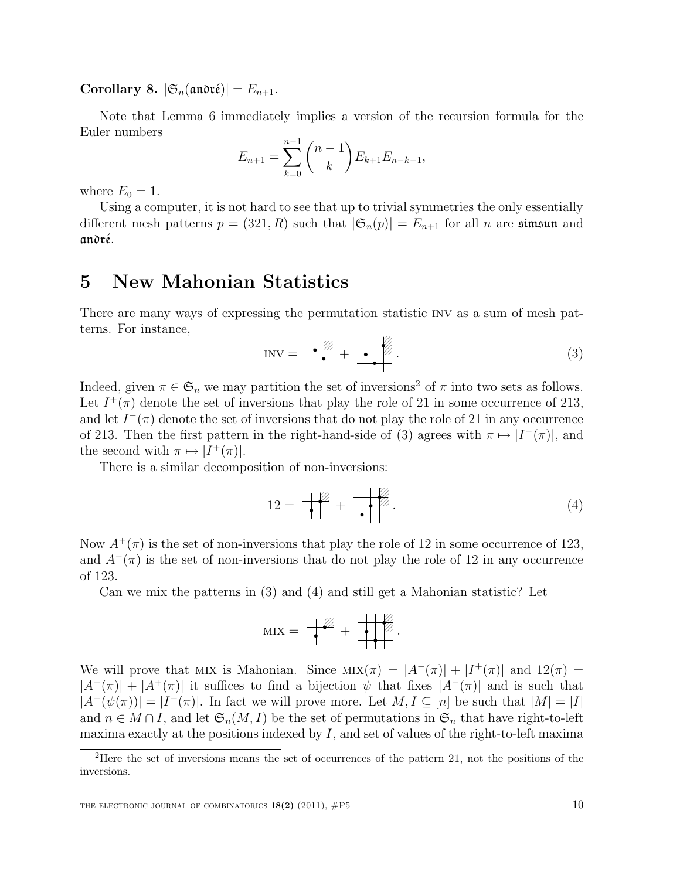Corollary 8.  $|\mathfrak{S}_n(\mathfrak{andr}\acute{\epsilon})| = E_{n+1}.$ 

Note that Lemma 6 immediately implies a version of the recursion formula for the Euler numbers

$$
E_{n+1} = \sum_{k=0}^{n-1} {n-1 \choose k} E_{k+1} E_{n-k-1},
$$

where  $E_0 = 1$ .

Using a computer, it is not hard to see that up to trivial symmetries the only essentially different mesh patterns  $p = (321, R)$  such that  $|\mathfrak{S}_n(p)| = E_{n+1}$  for all n are simsun and andré.

### 5 New Mahonian Statistics

There are many ways of expressing the permutation statistic inv as a sum of mesh patterns. For instance,

$$
INV = \frac{1}{1} + \frac{1}{1} + \frac{1}{1} \tag{3}
$$

Indeed, given  $\pi \in \mathfrak{S}_n$  we may partition the set of inversions<sup>2</sup> of  $\pi$  into two sets as follows. Let  $I^+(\pi)$  denote the set of inversions that play the role of 21 in some occurrence of 213, and let  $I^-(\pi)$  denote the set of inversions that do not play the role of 21 in any occurrence of 213. Then the first pattern in the right-hand-side of (3) agrees with  $\pi \mapsto |I^-(\pi)|$ , and the second with  $\pi \mapsto |I^+(\pi)|$ .

There is a similar decomposition of non-inversions:

$$
12 = \frac{1}{1} + \frac{1}{1} + \frac{1}{1} \tag{4}
$$

Now  $A^+(\pi)$  is the set of non-inversions that play the role of 12 in some occurrence of 123, and  $A^{-}(\pi)$  is the set of non-inversions that do not play the role of 12 in any occurrence of 123.

Can we mix the patterns in (3) and (4) and still get a Mahonian statistic? Let

$$
MIX = \frac{1}{1+1} + \frac{1}{1+1}.
$$

We will prove that MIX is Mahonian. Since  $MIX(\pi) = |A^{-}(\pi)| + |I^{+}(\pi)|$  and  $12(\pi) =$  $|A^{-}(\pi)| + |A^{+}(\pi)|$  it suffices to find a bijection  $\psi$  that fixes  $|A^{-}(\pi)|$  and is such that  $|A^+(\psi(\pi))| = |I^+(\pi)|$ . In fact we will prove more. Let  $M, I \subseteq [n]$  be such that  $|M| = |I|$ and  $n \in M \cap I$ , and let  $\mathfrak{S}_n(M, I)$  be the set of permutations in  $\mathfrak{S}_n$  that have right-to-left maxima exactly at the positions indexed by I, and set of values of the right-to-left maxima

<sup>2</sup>Here the set of inversions means the set of occurrences of the pattern 21, not the positions of the inversions.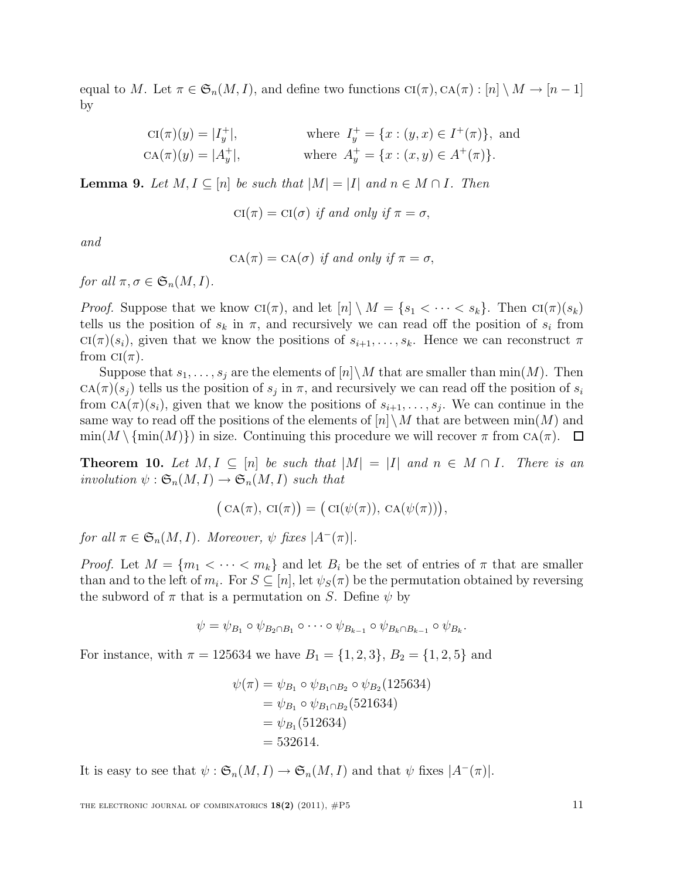equal to M. Let  $\pi \in \mathfrak{S}_n(M,I)$ , and define two functions  $\text{CI}(\pi), \text{CA}(\pi) : [n] \setminus M \to [n-1]$ by

$$
\text{CI}(\pi)(y) = |I_y^+|, \qquad \text{where } I_y^+ = \{x : (y, x) \in I^+(\pi)\}, \text{ and}
$$

$$
\text{CA}(\pi)(y) = |A_y^+|, \qquad \text{where } A_y^+ = \{x : (x, y) \in A^+(\pi)\}.
$$

**Lemma 9.** Let  $M, I \subseteq [n]$  be such that  $|M| = |I|$  and  $n \in M \cap I$ . Then

$$
CI(\pi) = CI(\sigma) \text{ if and only if } \pi = \sigma,
$$

and

 $CA(\pi) = CA(\sigma)$  if and only if  $\pi = \sigma$ .

for all  $\pi, \sigma \in \mathfrak{S}_n(M, I)$ .

*Proof.* Suppose that we know  $\text{CI}(\pi)$ , and let  $[n] \setminus M = \{s_1 < \cdots < s_k\}$ . Then  $\text{CI}(\pi)(s_k)$ tells us the position of  $s_k$  in  $\pi$ , and recursively we can read off the position of  $s_i$  from  $\text{CI}(\pi)(s_i)$ , given that we know the positions of  $s_{i+1}, \ldots, s_k$ . Hence we can reconstruct  $\pi$ from  $\text{CI}(\pi)$ .

Suppose that  $s_1, \ldots, s_j$  are the elements of  $[n] \backslash M$  that are smaller than  $\min(M)$ . Then  $CA(\pi)(s_j)$  tells us the position of  $s_j$  in  $\pi$ , and recursively we can read off the position of  $s_i$ from  $CA(\pi)(s_i)$ , given that we know the positions of  $s_{i+1}, \ldots, s_j$ . We can continue in the same way to read off the positions of the elements of  $[n]\setminus M$  that are between  $\min(M)$  and  $\min(M \setminus \{\min(M)\})$  in size. Continuing this procedure we will recover  $\pi$  from CA( $\pi$ ).  $\Box$ 

**Theorem 10.** Let  $M, I \subseteq [n]$  be such that  $|M| = |I|$  and  $n \in M \cap I$ . There is an involution  $\psi : \mathfrak{S}_n(M,I) \to \mathfrak{S}_n(M,I)$  such that

$$
(\mathrm{CA}(\pi), \mathrm{CI}(\pi)) = (\mathrm{CI}(\psi(\pi)), \mathrm{CA}(\psi(\pi))),
$$

for all  $\pi \in \mathfrak{S}_n(M,I)$ . Moreover,  $\psi$  fixes  $|A^-(\pi)|$ .

*Proof.* Let  $M = \{m_1 < \cdots < m_k\}$  and let  $B_i$  be the set of entries of  $\pi$  that are smaller than and to the left of  $m_i$ . For  $S \subseteq [n]$ , let  $\psi_S(\pi)$  be the permutation obtained by reversing the subword of  $\pi$  that is a permutation on S. Define  $\psi$  by

$$
\psi = \psi_{B_1} \circ \psi_{B_2 \cap B_1} \circ \cdots \circ \psi_{B_{k-1}} \circ \psi_{B_k \cap B_{k-1}} \circ \psi_{B_k}.
$$

For instance, with  $\pi = 125634$  we have  $B_1 = \{1, 2, 3\}, B_2 = \{1, 2, 5\}$  and

$$
\psi(\pi) = \psi_{B_1} \circ \psi_{B_1 \cap B_2} \circ \psi_{B_2}(125634)
$$
  
=  $\psi_{B_1} \circ \psi_{B_1 \cap B_2}(521634)$   
=  $\psi_{B_1}(512634)$   
= 532614.

It is easy to see that  $\psi : \mathfrak{S}_n(M,I) \to \mathfrak{S}_n(M,I)$  and that  $\psi$  fixes  $|A^{-}(\pi)|$ .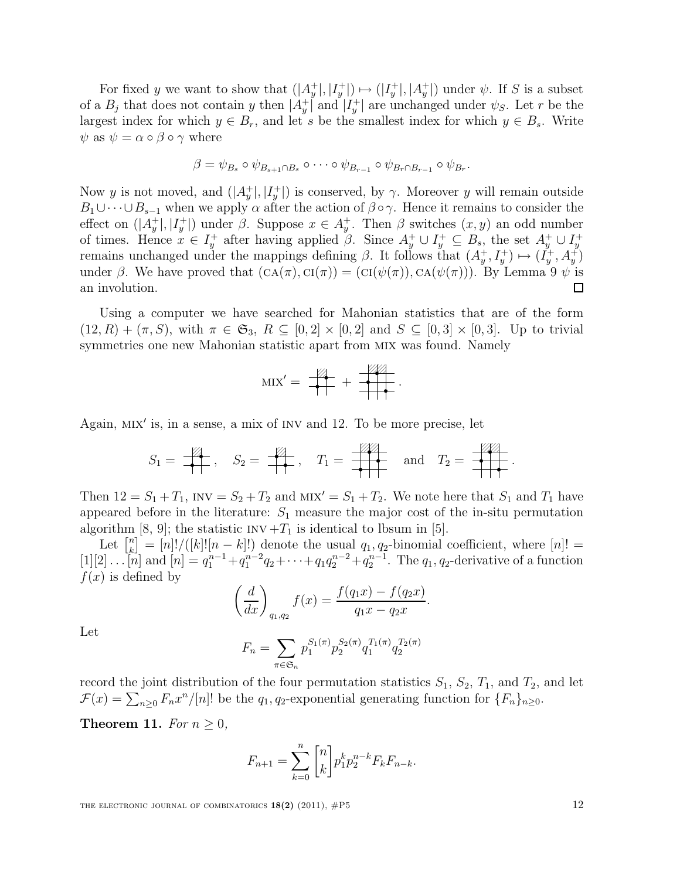For fixed y we want to show that  $(|A_y^+|, |I_y^+|) \mapsto (|I_y^+|, |A_y^+|)$  under  $\psi$ . If S is a subset of a  $B_j$  that does not contain y then  $|A_y^+|$  and  $|I_y^+|$  are unchanged under  $\psi_S$ . Let r be the largest index for which  $y \in B_r$ , and let s be the smallest index for which  $y \in B_s$ . Write  $\psi$  as  $\psi = \alpha \circ \beta \circ \gamma$  where

$$
\beta = \psi_{B_s} \circ \psi_{B_{s+1} \cap B_s} \circ \cdots \circ \psi_{B_{r-1}} \circ \psi_{B_r \cap B_{r-1}} \circ \psi_{B_r}.
$$

Now y is not moved, and  $(|A_y^+|, |I_y^+|)$  is conserved, by  $\gamma$ . Moreover y will remain outside  $B_1\cup\cdots\cup B_{s-1}$  when we apply  $\alpha$  after the action of  $\beta\circ\gamma$ . Hence it remains to consider the effect on  $(|A_y^+|, |I_y^+|)$  under  $\beta$ . Suppose  $x \in A_y^+$ . Then  $\beta$  switches  $(x, y)$  an odd number of times. Hence  $x \in I_y^+$  after having applied  $\beta$ . Since  $A_y^+ \cup I_y^+ \subseteq B_s$ , the set  $A_y^+ \cup I_y^+$ remains unchanged under the mappings defining β. It follows that  $(A_y^+, I_y^+) \mapsto (I_y^+, A_y^+)$ under  $\beta$ . We have proved that  $(CA(\pi), CI(\pi)) = (CI(\psi(\pi)), CA(\psi(\pi)))$ . By Lemma 9  $\psi$  is an involution.  $\Box$ 

Using a computer we have searched for Mahonian statistics that are of the form  $(12, R) + (\pi, S)$ , with  $\pi \in \mathfrak{S}_3$ ,  $R \subseteq [0, 2] \times [0, 2]$  and  $S \subseteq [0, 3] \times [0, 3]$ . Up to trivial symmetries one new Mahonian statistic apart from mix was found. Namely

$$
MIX' = \frac{1}{n+1} + \frac{1}{n+1}.
$$

Again, mix′ is, in a sense, a mix of inv and 12. To be more precise, let

$$
S_1 = \frac{1}{\sqrt{2\pi}} , \quad S_2 = \frac{1}{\sqrt{2\pi}} , \quad T_1 = \frac{1}{\sqrt{2\pi}} \quad \text{and} \quad T_2 = \frac{1}{\sqrt{2\pi}} .
$$

Then  $12 = S_1 + T_1$ , INV =  $S_2 + T_2$  and MIX' =  $S_1 + T_2$ . We note here that  $S_1$  and  $T_1$  have appeared before in the literature:  $S_1$  measure the major cost of the in-situ permutation algorithm [8, 9]; the statistic  $INV+T_1$  is identical to lbsum in [5].

Let  $\begin{bmatrix} n \\ k \end{bmatrix}$  $\binom{n}{k} = [n]! / ([k]! [n-k]!)$  denote the usual  $q_1, q_2$ -binomial coefficient, where  $[n]! =$  $[1][2] \ldots [n]$  and  $[n] = q_1^{n-1} + q_1^{n-2}q_2 + \cdots + q_1 q_2^{n-2} + q_2^{n-1}$ . The  $q_1, q_2$ -derivative of a function  $f(x)$  is defined by

$$
\left(\frac{d}{dx}\right)_{q_1,q_2} f(x) = \frac{f(q_1x) - f(q_2x)}{q_1x - q_2x}
$$

.

Let

$$
F_n = \sum_{\pi \in \mathfrak{S}_n} p_1^{S_1(\pi)} p_2^{S_2(\pi)} q_1^{T_1(\pi)} q_2^{T_2(\pi)}
$$

record the joint distribution of the four permutation statistics  $S_1$ ,  $S_2$ ,  $T_1$ , and  $T_2$ , and let  $\mathcal{F}(x) = \sum_{n\geq 0} F_n x^n/[n]!$  be the  $q_1, q_2$ -exponential generating function for  $\{F_n\}_{n\geq 0}$ .

Theorem 11. For  $n \geq 0$ ,

$$
F_{n+1} = \sum_{k=0}^{n} {n \choose k} p_1^k p_2^{n-k} F_k F_{n-k}.
$$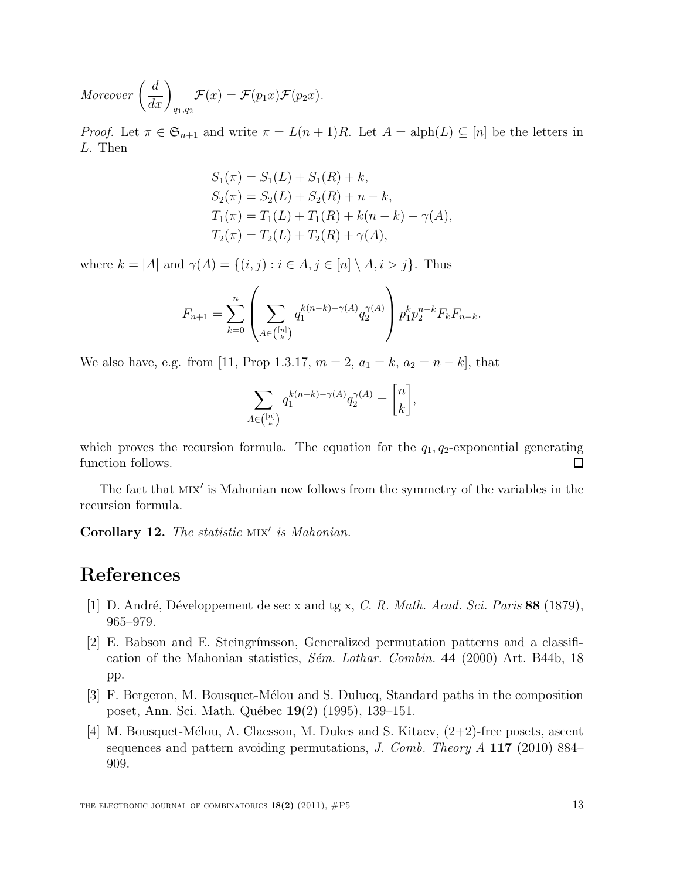Moreover 
$$
\left(\frac{d}{dx}\right)_{q_1,q_2} \mathcal{F}(x) = \mathcal{F}(p_1x)\mathcal{F}(p_2x).
$$

*Proof.* Let  $\pi \in \mathfrak{S}_{n+1}$  and write  $\pi = L(n+1)R$ . Let  $A = \text{alph}(L) \subseteq [n]$  be the letters in L. Then

$$
S_1(\pi) = S_1(L) + S_1(R) + k,
$$
  
\n
$$
S_2(\pi) = S_2(L) + S_2(R) + n - k,
$$
  
\n
$$
T_1(\pi) = T_1(L) + T_1(R) + k(n - k) - \gamma(A),
$$
  
\n
$$
T_2(\pi) = T_2(L) + T_2(R) + \gamma(A),
$$

where  $k = |A|$  and  $\gamma(A) = \{(i, j) : i \in A, j \in [n] \setminus A, i > j\}$ . Thus

$$
F_{n+1} = \sum_{k=0}^{n} \left( \sum_{A \in \binom{[n]}{k}} q_1^{k(n-k)-\gamma(A)} q_2^{\gamma(A)} \right) p_1^k p_2^{n-k} F_k F_{n-k}.
$$

We also have, e.g. from [11, Prop 1.3.17,  $m = 2$ ,  $a_1 = k$ ,  $a_2 = n - k$ ], that

$$
\sum_{A \in \binom{[n]}{k}} q_1^{k(n-k)-\gamma(A)} q_2^{\gamma(A)} = \begin{bmatrix} n \\ k \end{bmatrix},
$$

which proves the recursion formula. The equation for the  $q_1, q_2$ -exponential generating  $\square$ function follows.

The fact that MIX' is Mahonian now follows from the symmetry of the variables in the recursion formula.

Corollary 12. The statistic MIX' is Mahonian.

### References

- [1] D. André, Développement de sec x and tg x, C. R. Math. Acad. Sci. Paris 88 (1879), 965–979.
- [2] E. Babson and E. Steingr´ımsson, Generalized permutation patterns and a classification of the Mahonian statistics,  $S\acute{e}m$ . Lothar. Combin. 44 (2000) Art. B44b, 18 pp.
- [3] F. Bergeron, M. Bousquet-Mélou and S. Dulucq, Standard paths in the composition poset, Ann. Sci. Math. Québec 19(2) (1995), 139–151.
- [4] M. Bousquet-Mélou, A. Claesson, M. Dukes and S. Kitaev,  $(2+2)$ -free posets, ascent sequences and pattern avoiding permutations, J. Comb. Theory A 117 (2010) 884– 909.